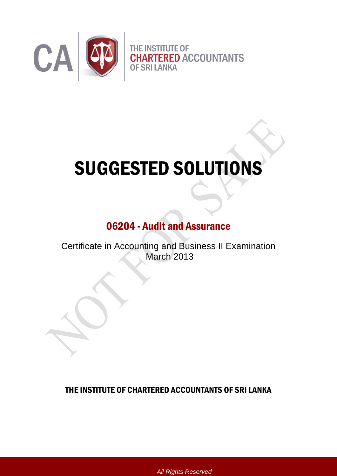

# SUGGESTED SOLUTIONS

# 06204 - Audit and Assurance

Certificate in Accounting and Business II Examination March 2013

THE INSTITUTE OF CHARTERED ACCOUNTANTS OF SRI LANKA

*All Rights Reserved*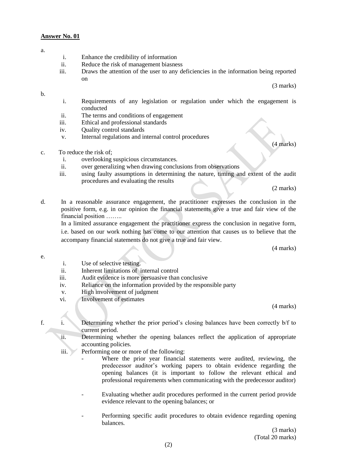- a.
- i. Enhance the credibility of information
- ii. Reduce the risk of management biasness
- iii. Draws the attention of the user to any deficiencies in the information being reported on

(3 marks)

#### b.

- i. Requirements of any legislation or regulation under which the engagement is conducted
- ii. The terms and conditions of engagement
- iii. Ethical and professional standards
- iv. Quality control standards
- v. Internal regulations and internal control procedures
- c. To reduce the risk of;
	- i. overlooking suspicious circumstances.
	- ii. over generalizing when drawing conclusions from observations
	- iii. using faulty assumptions in determining the nature, timing and extent of the audit procedures and evaluating the results

(2 marks)

(4 marks)

d. In a reasonable assurance engagement, the practitioner expresses the conclusion in the positive form, e.g. in our opinion the financial statements give a true and fair view of the financial position ……..

In a limited assurance engagement the practitioner express the conclusion in negative form, i.e. based on our work nothing has come to our attention that causes us to believe that the accompany financial statements do not give a true and fair view.

(4 marks)

- e.
- i. Use of selective testing.
- ii. Inherent limitations of internal control
- iii. Audit evidence is more persuasive than conclusive
- iv. Reliance on the information provided by the responsible party
- v. High involvement of judgment
- vi. Involvement of estimates

(4 marks)

- f. i. Determining whether the prior period's closing balances have been correctly b/f to current period.
	- ii. Determining whether the opening balances reflect the application of appropriate accounting policies.
	- iii. Performing one or more of the following:
		- Where the prior year financial statements were audited, reviewing, the predecessor auditor's working papers to obtain evidence regarding the opening balances (it is important to follow the relevant ethical and professional requirements when communicating with the predecessor auditor)
		- Evaluating whether audit procedures performed in the current period provide evidence relevant to the opening balances; or
		- Performing specific audit procedures to obtain evidence regarding opening balances.

(3 marks) (Total 20 marks)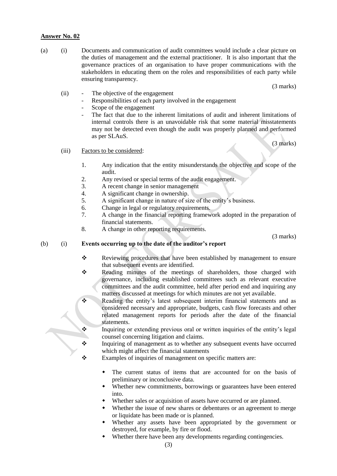(a) (i) Documents and communication of audit committees would include a clear picture on the duties of management and the external practitioner. It is also important that the governance practices of an organisation to have proper communications with the stakeholders in educating them on the roles and responsibilities of each party while ensuring transparency.

(3 marks)

- (ii) The objective of the engagement
	- Responsibilities of each party involved in the engagement
	- Scope of the engagement
	- The fact that due to the inherent limitations of audit and inherent limitations of internal controls there is an unavoidable risk that some material misstatements may not be detected even though the audit was properly planned and performed as per SLAuS.

(3 marks)

#### (iii) Factors to be considered:

- 1. Any indication that the entity misunderstands the objective and scope of the audit.
- 2. Any revised or special terms of the audit engagement.
- 3. A recent change in senior management
- 4. A significant change in ownership.
- 5. A significant change in nature of size of the entity's business.
- 6. Change in legal or regulatory requirements.
- 7. A change in the financial reporting framework adopted in the preparation of financial statements.
- 8. A change in other reporting requirements.

(3 marks)

#### (b) (i) **Events occurring up to the date of the auditor's report**

- \* Reviewing procedures that have been established by management to ensure that subsequent events are identified.
- \* Reading minutes of the meetings of shareholders, those charged with governance, including established committees such as relevant executive committees and the audit committee, held after period end and inquiring any matters discussed at meetings for which minutes are not yet available.

Reading the entity's latest subsequent interim financial statements and as considered necessary and appropriate, budgets, cash flow forecasts and other related management reports for periods after the date of the financial statements.

- \* Inquiring or extending previous oral or written inquiries of the entity's legal counsel concerning litigation and claims.
- $\mathbf{\hat{P}}$  Inquiring of management as to whether any subsequent events have occurred which might affect the financial statements
- $\mathbf{\hat{\cdot}$  Examples of inquiries of management on specific matters are:
	- The current status of items that are accounted for on the basis of preliminary or inconclusive data.
	- Whether new commitments, borrowings or guarantees have been entered into.
	- Whether sales or acquisition of assets have occurred or are planned.
	- Whether the issue of new shares or debentures or an agreement to merge or liquidate has been made or is planned.
	- Whether any assets have been appropriated by the government or destroyed, for example, by fire or flood.
	- Whether there have been any developments regarding contingencies.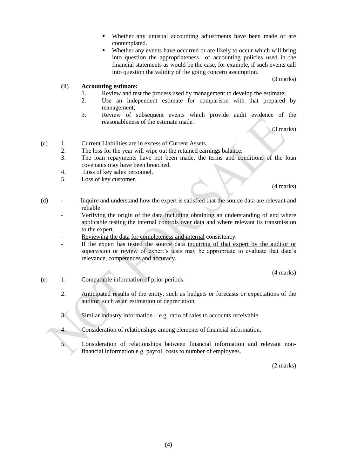- Whether any unusual accounting adjustments have been made or are contemplated.
- Whether any events have occurred or are likely to occur which will bring into question the appropriateness of accounting policies used in the financial statements as would be the case, for example, if such events call into question the validity of the going concern assumption.

(3 marks)

#### (ii) **Accounting estimate:**

- 1. Review and test the process used by management to develop the estimate;
- 2. Use an independent estimate for comparison with that prepared by management;
- 3. Review of subsequent events which provide audit evidence of the reasonableness of the estimate made.

(3 marks)

- (c) 1. Current Liabilities are in excess of Current Assets.
	- 2. The loss for the year will wipe out the retained earnings balance.
	- 3. The loan repayments have not been made, the terms and conditions of the loan covenants may have been breached.
	- 4. Loss of key sales personnel.
	- 5. Loss of key customer.

(4 marks)

- (d) Inquire and understand how the expert is satisfied that the source data are relevant and reliable
	- Verifying the origin of the data including obtaining an understanding of and where applicable testing the internal controls over data and where relevant its transmission to the expert.
	- Reviewing the data for completeness and internal consistency.
	- If the expert has tested the source data inquiring of that expert by the auditor or supervision or review of expert's tests may be appropriate to evaluate that data's relevance, competences and accuracy.

(4 marks)

- (e) 1. Comparable information of prior periods.
	- 2. Anticipated results of the entity, such as budgets or forecasts or expectations of the auditor, such as an estimation of depreciation.
	- 3. Similar industry information e.g. ratio of sales to accounts receivable.
	- 4. Consideration of relationships among elements of financial information.
	- 5. Consideration of relationships between financial information and relevant nonfinancial information e.g. payroll costs to number of employees.

(2 marks)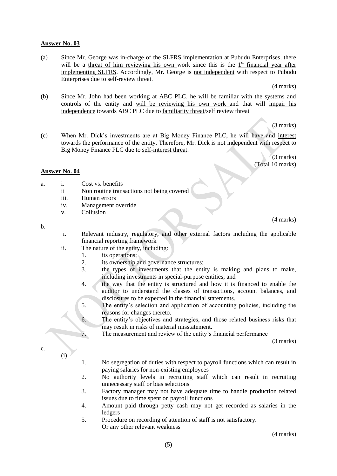(a) Since Mr. George was in-charge of the SLFRS implementation at Pubudu Enterprises, there will be a threat of him reviewing his own work since this is the  $1<sup>st</sup>$  financial year after implementing SLFRS. Accordingly, Mr. George is not independent with respect to Pubudu Enterprises due to self-review threat.

(4 marks)

(b) Since Mr. John had been working at ABC PLC, he will be familiar with the systems and controls of the entity and will be reviewing his own work and that will impair his independence towards ABC PLC due to familiarity threat/self review threat

(3 marks)

(c) When Mr. Dick's investments are at Big Money Finance PLC, he will have and interest towards the performance of the entity. Therefore, Mr. Dick is not independent with respect to Big Money Finance PLC due to self-interest threat.

> (3 marks) (Total 10 marks)

> > (4 marks)

#### **Answer No. 04**

- a. i. Cost vs. benefits
	- ii Non routine transactions not being covered
	- iii. Human errors
	- iv. Management override
	- v. Collusion

#### b.

- i. Relevant industry, regulatory, and other external factors including the applicable financial reporting framework
- ii. The nature of the entity, including:
	- 1. its operations;
	- 2. its ownership and governance structures;
	- 3. the types of investments that the entity is making and plans to make, including investments in special-purpose entities; and
	- 4. the way that the entity is structured and how it is financed to enable the auditor to understand the classes of transactions, account balances, and disclosures to be expected in the financial statements.
	- 5. The entity's selection and application of accounting policies, including the reasons for changes thereto.
	- 6. The entity's objectives and strategies, and those related business risks that may result in risks of material misstatement.
	- 7. The measurement and review of the entity's financial performance

(3 marks)

c.

(i)

- 1. No segregation of duties with respect to payroll functions which can result in paying salaries for non-existing employees
- 2. No authority levels in recruiting staff which can result in recruiting unnecessary staff or bias selections
- 3. Factory manager may not have adequate time to handle production related issues due to time spent on payroll functions
- 4. Amount paid through petty cash may not get recorded as salaries in the **ledgers**
- 5. Procedure on recording of attention of staff is not satisfactory. Or any other relevant weakness

(4 marks)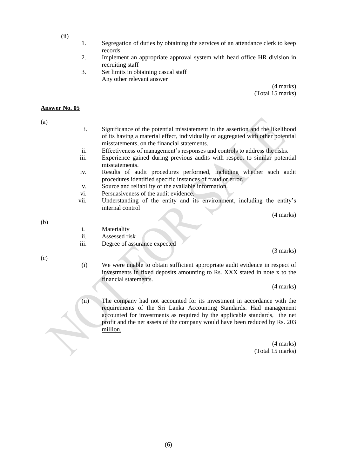- (ii)
- 1. Segregation of duties by obtaining the services of an attendance clerk to keep records
- 2. Implement an appropriate approval system with head office HR division in recruiting staff
- 3. Set limits in obtaining casual staff Any other relevant answer

(4 marks) (Total 15 marks)

#### **Answer No. 05**

(a)

- i. Significance of the potential misstatement in the assertion and the likelihood of its having a material effect, individually or aggregated with other potential misstatements, on the financial statements.
- ii. Effectiveness of management's responses and controls to address the risks.
- iii. Experience gained during previous audits with respect to similar potential misstatements.
- iv. Results of audit procedures performed, including whether such audit procedures identified specific instances of fraud or error.
- v. Source and reliability of the available information.
- vi. Persuasiveness of the audit evidence.
- vii. Understanding of the entity and its environment, including the entity's internal control

(4 marks)

(b)

- ii. Assessed risk
- iii. Degree of assurance expected

(3 marks)

- $(c)$
- (i) We were unable to obtain sufficient appropriate audit evidence in respect of investments in fixed deposits amounting to Rs. XXX stated in note x to the financial statements.

(4 marks)

(ii) The company had not accounted for its investment in accordance with the requirements of the Sri Lanka Accounting Standards. Had management accounted for investments as required by the applicable standards, the net profit and the net assets of the company would have been reduced by Rs. 203 million.

> (4 marks) (Total 15 marks)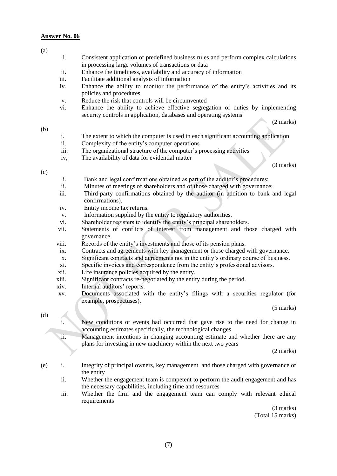(a)

### i. Consistent application of predefined business rules and perform complex calculations in processing large volumes of transactions or data ii. Enhance the timeliness, availability and accuracy of information iii. Facilitate additional analysis of information iv. Enhance the ability to monitor the performance of the entity's activities and its policies and procedures v. Reduce the risk that controls will be circumvented vi. Enhance the ability to achieve effective segregation of duties by implementing security controls in application, databases and operating systems (2 marks) i. The extent to which the computer is used in each significant accounting application ii. Complexity of the entity's computer operations iii. The organizational structure of the computer's processing activities

iv, The availability of data for evidential matter

(3 marks)

#### $(c)$

(b)

- i. Bank and legal confirmations obtained as part of the auditor's procedures;
- ii. Minutes of meetings of shareholders and of those charged with governance;
- iii. Third-party confirmations obtained by the auditor (in addition to bank and legal confirmations).
- iv. Entity income tax returns.
- v. Information supplied by the entity to regulatory authorities.
- vi. Shareholder registers to identify the entity's principal shareholders.
- vii. Statements of conflicts of interest from management and those charged with governance.
- viii. Records of the entity's investments and those of its pension plans.
- ix. Contracts and agreements with key management or those charged with governance.
- x. Significant contracts and agreements not in the entity's ordinary course of business.
- xi. Specific invoices and correspondence from the entity's professional advisors.
- xii. Life insurance policies acquired by the entity.
- xiii. Significant contracts re-negotiated by the entity during the period.
- xiv. Internal auditors' reports.
- xv. Documents associated with the entity's filings with a securities regulator (for example, prospectuses).

(5 marks)

#### (d)

i. New conditions or events had occurred that gave rise to the need for change in accounting estimates specifically, the technological changes

ii. Management intentions in changing accounting estimate and whether there are any plans for investing in new machinery within the next two years

(2 marks)

- (e) i. Integrity of principal owners, key management and those charged with governance of the entity
	- ii. Whether the engagement team is competent to perform the audit engagement and has the necessary capabilities, including time and resources
	- iii. Whether the firm and the engagement team can comply with relevant ethical requirements

(3 marks) (Total 15 marks)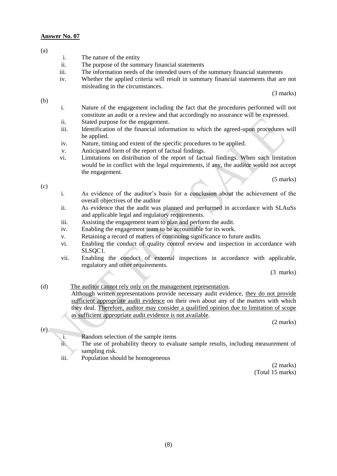#### (a)

(b)

- i. The nature of the entity
- ii. The purpose of the summary financial statements
- iii. The information needs of the intended users of the summary financial statements
- iv. Whether the applied criteria will result in summary financial statements that are not misleading in the circumstances.

(3 marks)

- i. Nature of the engagement including the fact that the procedures performed will not constitute an audit or a review and that accordingly no assurance will be expressed.
- ii. Stated purpose for the engagement.
- iii. Identification of the financial information to which the agreed-upon procedures will be applied.
- iv. Nature, timing and extent of the specific procedures to be applied.
- v. Anticipated form of the report of factual findings.
- vi. Limitations on distribution of the report of factual findings. When such limitation would be in conflict with the legal requirements, if any, the auditor would not accept the engagement.

(5 marks)

(c)

i. As evidence of the auditor's basis for a conclusion about the achievement of the overall objectives of the auditor

- ii. As evidence that the audit was planned and performed in accordance with SLAuSs and applicable legal and regulatory requirements.
- iii. Assisting the engagement team to plan and perform the audit.
- iv. Enabling the engagement team to be accountable for its work.
- v. Retaining a record of matters of continuing significance to future audits.
- vi. Enabling the conduct of quality control review and inspection in accordance with SLSOC1.
- vii. Enabling the conduct of external inspections in accordance with applicable, regulatory and other requirements.

(3 marks)

#### (d) The auditor cannot rely only on the management representation. Although written representations provide necessary audit evidence, they do not provide sufficient appropriate audit evidence on their own about any of the matters with which they deal. Therefore, auditor may consider a qualified opinion due to limitation of scope as sufficient appropriate audit evidence is not available.

(2 marks)

(e)

- i. Random selection of the sample items
- ii. The use of probability theory to evaluate sample results, including measurement of sampling risk.
- iii. Population should be homogeneous

(2 marks) (Total 15 marks)